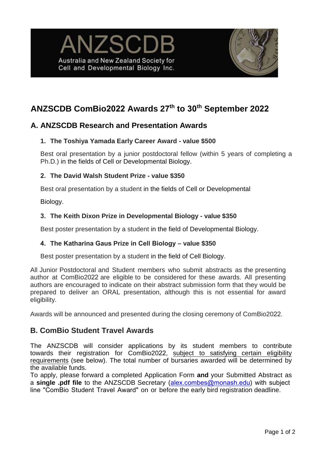



# **ANZSCDB ComBio2022 Awards 27 th to 30th September 2022**

## **A. ANZSCDB Research and Presentation Awards**

### **1. The Toshiya Yamada Early Career Award - value \$500**

Best oral presentation by a junior postdoctoral fellow (within 5 years of completing a Ph.D.) in the fields of Cell or Developmental Biology.

### **2. The David Walsh Student Prize - value \$350**

Best oral presentation by a student in the fields of Cell or Developmental

Biology.

#### **3. The Keith Dixon Prize in Developmental Biology - value \$350**

Best poster presentation by a student in the field of Developmental Biology.

#### **4. The Katharina Gaus Prize in Cell Biology – value \$350**

Best poster presentation by a student in the field of Cell Biology.

All Junior Postdoctoral and Student members who submit abstracts as the presenting author at ComBio2022 are eligible to be considered for these awards. All presenting authors are encouraged to indicate on their abstract submission form that they would be prepared to deliver an ORAL presentation, although this is not essential for award eligibility.

Awards will be announced and presented during the closing ceremony of ComBio2022.

## **B. ComBio Student Travel Awards**

The ANZSCDB will consider applications by its student members to contribute towards their registration for ComBio2022, subject to satisfying certain eligibility requirements (see below). The total number of bursaries awarded will be determined by the available funds.

To apply, please forward a completed Application Form **and** your Submitted Abstract as a **single .pdf file** to the ANZSCDB Secretary (alex.combes@monash.edu) with subject line "ComBio Student Travel Award" [on or before the early bird registration deadline.](mailto:Michael.Samuel@unisa.edu.au)